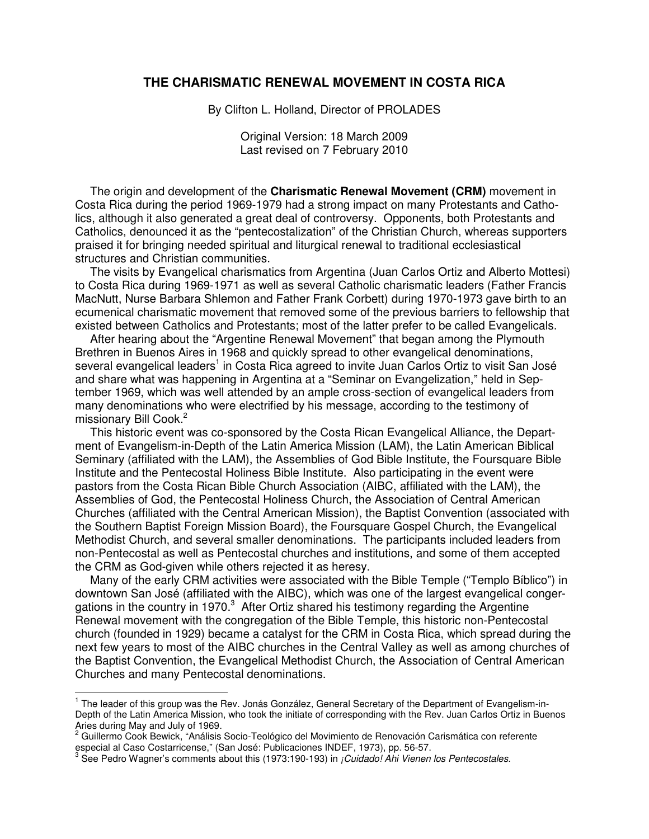### **THE CHARISMATIC RENEWAL MOVEMENT IN COSTA RICA**

By Clifton L. Holland, Director of PROLADES

Original Version: 18 March 2009 Last revised on 7 February 2010

The origin and development of the **Charismatic Renewal Movement (CRM)** movement in Costa Rica during the period 1969-1979 had a strong impact on many Protestants and Catholics, although it also generated a great deal of controversy. Opponents, both Protestants and Catholics, denounced it as the "pentecostalization" of the Christian Church, whereas supporters praised it for bringing needed spiritual and liturgical renewal to traditional ecclesiastical structures and Christian communities.

The visits by Evangelical charismatics from Argentina (Juan Carlos Ortiz and Alberto Mottesi) to Costa Rica during 1969-1971 as well as several Catholic charismatic leaders (Father Francis MacNutt, Nurse Barbara Shlemon and Father Frank Corbett) during 1970-1973 gave birth to an ecumenical charismatic movement that removed some of the previous barriers to fellowship that existed between Catholics and Protestants; most of the latter prefer to be called Evangelicals.

After hearing about the "Argentine Renewal Movement" that began among the Plymouth Brethren in Buenos Aires in 1968 and quickly spread to other evangelical denominations, several evangelical leaders<sup>1</sup> in Costa Rica agreed to invite Juan Carlos Ortiz to visit San José and share what was happening in Argentina at a "Seminar on Evangelization," held in September 1969, which was well attended by an ample cross-section of evangelical leaders from many denominations who were electrified by his message, according to the testimony of missionary Bill Cook.<sup>2</sup>

This historic event was co-sponsored by the Costa Rican Evangelical Alliance, the Department of Evangelism-in-Depth of the Latin America Mission (LAM), the Latin American Biblical Seminary (affiliated with the LAM), the Assemblies of God Bible Institute, the Foursquare Bible Institute and the Pentecostal Holiness Bible Institute. Also participating in the event were pastors from the Costa Rican Bible Church Association (AIBC, affiliated with the LAM), the Assemblies of God, the Pentecostal Holiness Church, the Association of Central American Churches (affiliated with the Central American Mission), the Baptist Convention (associated with the Southern Baptist Foreign Mission Board), the Foursquare Gospel Church, the Evangelical Methodist Church, and several smaller denominations. The participants included leaders from non-Pentecostal as well as Pentecostal churches and institutions, and some of them accepted the CRM as God-given while others rejected it as heresy.

Many of the early CRM activities were associated with the Bible Temple ("Templo Bíblico") in downtown San José (affiliated with the AIBC), which was one of the largest evangelical congergations in the country in 1970. $3$  After Ortiz shared his testimony regarding the Argentine Renewal movement with the congregation of the Bible Temple, this historic non-Pentecostal church (founded in 1929) became a catalyst for the CRM in Costa Rica, which spread during the next few years to most of the AIBC churches in the Central Valley as well as among churches of the Baptist Convention, the Evangelical Methodist Church, the Association of Central American Churches and many Pentecostal denominations.

l.

<sup>&</sup>lt;sup>1</sup> The leader of this group was the Rev. Jonás González, General Secretary of the Department of Evangelism-in-Depth of the Latin America Mission, who took the initiate of corresponding with the Rev. Juan Carlos Ortiz in Buenos Aries during May and July of 1969.<br><sup>2</sup> Cuillerme Cael: Rewisk, "Análisie.

Guillermo Cook Bewick, "Análisis Socio-Teológico del Movimiento de Renovación Carismática con referente especial al Caso Costarricense," (San José: Publicaciones INDEF, 1973), pp. 56-57.

 $^3$  See Pedro Wagner's comments about this (1973:190-193) in *¡Cuidado! Ahi Vienen los Pentecostales.*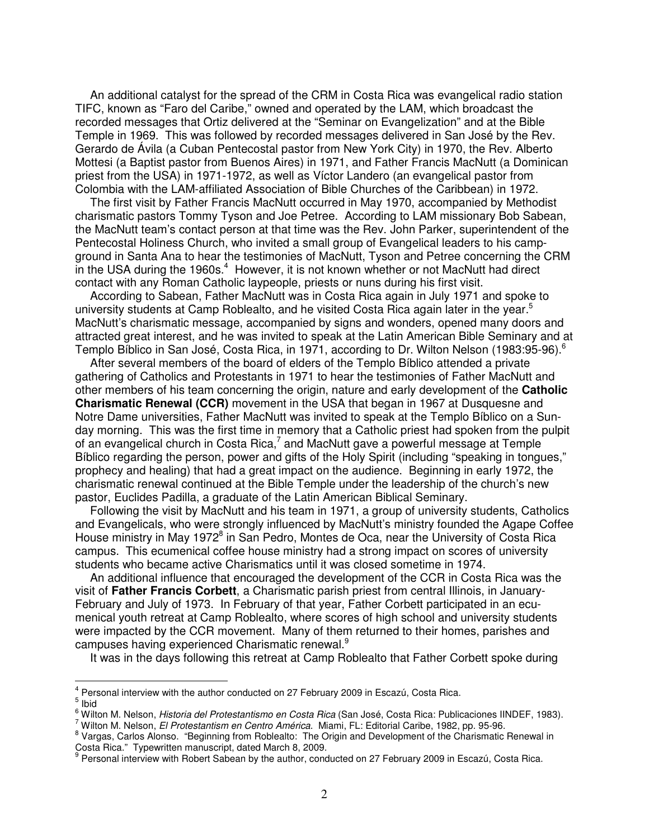An additional catalyst for the spread of the CRM in Costa Rica was evangelical radio station TIFC, known as "Faro del Caribe," owned and operated by the LAM, which broadcast the recorded messages that Ortiz delivered at the "Seminar on Evangelization" and at the Bible Temple in 1969. This was followed by recorded messages delivered in San José by the Rev. Gerardo de Ávila (a Cuban Pentecostal pastor from New York City) in 1970, the Rev. Alberto Mottesi (a Baptist pastor from Buenos Aires) in 1971, and Father Francis MacNutt (a Dominican priest from the USA) in 1971-1972, as well as Víctor Landero (an evangelical pastor from Colombia with the LAM-affiliated Association of Bible Churches of the Caribbean) in 1972.

The first visit by Father Francis MacNutt occurred in May 1970, accompanied by Methodist charismatic pastors Tommy Tyson and Joe Petree. According to LAM missionary Bob Sabean, the MacNutt team's contact person at that time was the Rev. John Parker, superintendent of the Pentecostal Holiness Church, who invited a small group of Evangelical leaders to his campground in Santa Ana to hear the testimonies of MacNutt, Tyson and Petree concerning the CRM in the USA during the 1960s.<sup>4</sup> However, it is not known whether or not MacNutt had direct contact with any Roman Catholic laypeople, priests or nuns during his first visit.

According to Sabean, Father MacNutt was in Costa Rica again in July 1971 and spoke to university students at Camp Roblealto, and he visited Costa Rica again later in the year.<sup>5</sup> MacNutt's charismatic message, accompanied by signs and wonders, opened many doors and attracted great interest, and he was invited to speak at the Latin American Bible Seminary and at Templo Bíblico in San José, Costa Rica, in 1971, according to Dr. Wilton Nelson (1983:95-96).<sup>6</sup>

After several members of the board of elders of the Templo Bíblico attended a private gathering of Catholics and Protestants in 1971 to hear the testimonies of Father MacNutt and other members of his team concerning the origin, nature and early development of the **Catholic Charismatic Renewal (CCR)** movement in the USA that began in 1967 at Dusquesne and Notre Dame universities, Father MacNutt was invited to speak at the Templo Bíblico on a Sunday morning. This was the first time in memory that a Catholic priest had spoken from the pulpit of an evangelical church in Costa Rica,<sup>7</sup> and MacNutt gave a powerful message at Temple Bíblico regarding the person, power and gifts of the Holy Spirit (including "speaking in tongues," prophecy and healing) that had a great impact on the audience. Beginning in early 1972, the charismatic renewal continued at the Bible Temple under the leadership of the church's new pastor, Euclides Padilla, a graduate of the Latin American Biblical Seminary.

Following the visit by MacNutt and his team in 1971, a group of university students, Catholics and Evangelicals, who were strongly influenced by MacNutt's ministry founded the Agape Coffee House ministry in May 1972<sup>8</sup> in San Pedro, Montes de Oca, near the University of Costa Rica campus. This ecumenical coffee house ministry had a strong impact on scores of university students who became active Charismatics until it was closed sometime in 1974.

An additional influence that encouraged the development of the CCR in Costa Rica was the visit of **Father Francis Corbett**, a Charismatic parish priest from central Illinois, in January-February and July of 1973. In February of that year, Father Corbett participated in an ecumenical youth retreat at Camp Roblealto, where scores of high school and university students were impacted by the CCR movement. Many of them returned to their homes, parishes and campuses having experienced Charismatic renewal.<sup>9</sup>

It was in the days following this retreat at Camp Roblealto that Father Corbett spoke during

l.

<sup>4</sup> Personal interview with the author conducted on 27 February 2009 in Escazú, Costa Rica.

 $\frac{5}{1}$  Ibid

<sup>&</sup>lt;sup>6</sup> Wilton M. Nelson, *Historia del Protestantismo en Costa Rica* (San José, Costa Rica: Publicaciones IINDEF, 1983).

<sup>&</sup>lt;sup>7</sup> Wilton M. Nelson, El Protestantism en Centro América. Miami, FL: Editorial Caribe, 1982, pp. 95-96.

<sup>&</sup>lt;sup>8</sup> Vargas, Carlos Alonso. "Beginning from Roblealto: The Origin and Development of the Charismatic Renewal in Costa Rica." Typewritten manuscript, dated March 8, 2009.

<sup>9</sup> Personal interview with Robert Sabean by the author, conducted on 27 February 2009 in Escazú, Costa Rica.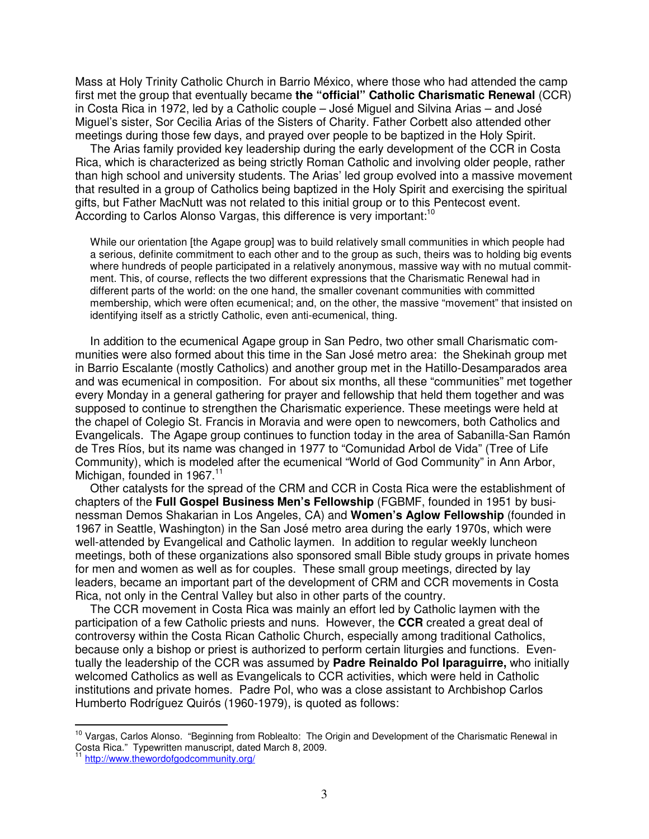Mass at Holy Trinity Catholic Church in Barrio México, where those who had attended the camp first met the group that eventually became **the "official" Catholic Charismatic Renewal** (CCR) in Costa Rica in 1972, led by a Catholic couple – José Miguel and Silvina Arias – and José Miguel's sister, Sor Cecilia Arias of the Sisters of Charity. Father Corbett also attended other meetings during those few days, and prayed over people to be baptized in the Holy Spirit.

The Arias family provided key leadership during the early development of the CCR in Costa Rica, which is characterized as being strictly Roman Catholic and involving older people, rather than high school and university students. The Arias' led group evolved into a massive movement that resulted in a group of Catholics being baptized in the Holy Spirit and exercising the spiritual gifts, but Father MacNutt was not related to this initial group or to this Pentecost event. According to Carlos Alonso Vargas, this difference is very important:<sup>10</sup>

While our orientation [the Agape group] was to build relatively small communities in which people had a serious, definite commitment to each other and to the group as such, theirs was to holding big events where hundreds of people participated in a relatively anonymous, massive way with no mutual commitment. This, of course, reflects the two different expressions that the Charismatic Renewal had in different parts of the world: on the one hand, the smaller covenant communities with committed membership, which were often ecumenical; and, on the other, the massive "movement" that insisted on identifying itself as a strictly Catholic, even anti-ecumenical, thing.

In addition to the ecumenical Agape group in San Pedro, two other small Charismatic communities were also formed about this time in the San José metro area: the Shekinah group met in Barrio Escalante (mostly Catholics) and another group met in the Hatillo-Desamparados area and was ecumenical in composition. For about six months, all these "communities" met together every Monday in a general gathering for prayer and fellowship that held them together and was supposed to continue to strengthen the Charismatic experience. These meetings were held at the chapel of Colegio St. Francis in Moravia and were open to newcomers, both Catholics and Evangelicals. The Agape group continues to function today in the area of Sabanilla-San Ramón de Tres Ríos, but its name was changed in 1977 to "Comunidad Arbol de Vida" (Tree of Life Community), which is modeled after the ecumenical "World of God Community" in Ann Arbor, Michigan, founded in 1967.<sup>11</sup>

Other catalysts for the spread of the CRM and CCR in Costa Rica were the establishment of chapters of the **Full Gospel Business Men's Fellowship** (FGBMF, founded in 1951 by businessman Demos Shakarian in Los Angeles, CA) and **Women's Aglow Fellowship** (founded in 1967 in Seattle, Washington) in the San José metro area during the early 1970s, which were well-attended by Evangelical and Catholic laymen. In addition to regular weekly luncheon meetings, both of these organizations also sponsored small Bible study groups in private homes for men and women as well as for couples. These small group meetings, directed by lay leaders, became an important part of the development of CRM and CCR movements in Costa Rica, not only in the Central Valley but also in other parts of the country.

The CCR movement in Costa Rica was mainly an effort led by Catholic laymen with the participation of a few Catholic priests and nuns. However, the **CCR** created a great deal of controversy within the Costa Rican Catholic Church, especially among traditional Catholics, because only a bishop or priest is authorized to perform certain liturgies and functions. Eventually the leadership of the CCR was assumed by **Padre Reinaldo Pol Iparaguirre,** who initially welcomed Catholics as well as Evangelicals to CCR activities, which were held in Catholic institutions and private homes. Padre Pol, who was a close assistant to Archbishop Carlos Humberto Rodríguez Quirós (1960-1979), is quoted as follows:

 $\overline{a}$ 

<sup>&</sup>lt;sup>10</sup> Vargas, Carlos Alonso. "Beginning from Roblealto: The Origin and Development of the Charismatic Renewal in Costa Rica." Typewritten manuscript, dated March 8, 2009.

http://www.thewordofgodcommunity.org/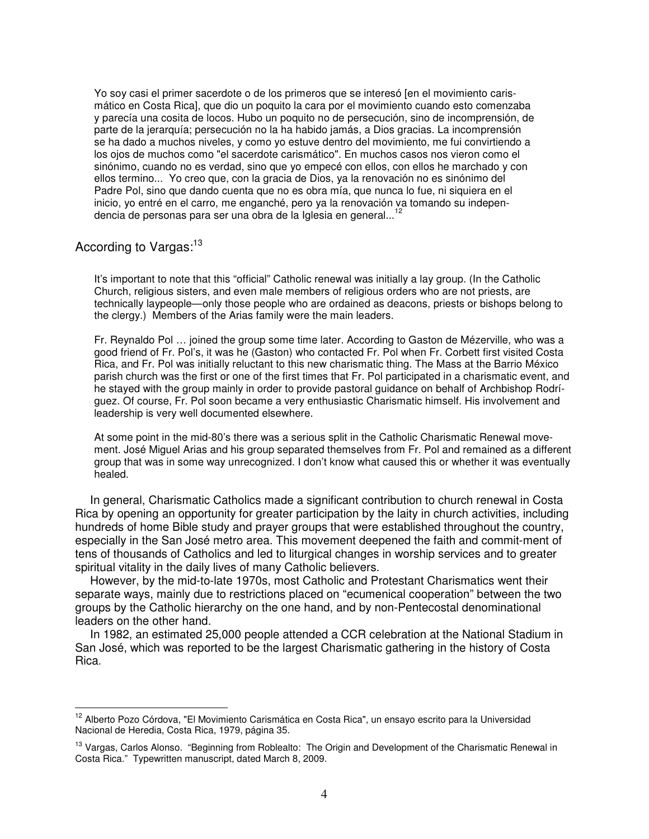Yo soy casi el primer sacerdote o de los primeros que se interesó [en el movimiento carismático en Costa Rica], que dio un poquito la cara por el movimiento cuando esto comenzaba y parecía una cosita de locos. Hubo un poquito no de persecución, sino de incomprensión, de parte de la jerarquía; persecución no la ha habido jamás, a Dios gracias. La incomprensión se ha dado a muchos niveles, y como yo estuve dentro del movimiento, me fui convirtiendo a los ojos de muchos como "el sacerdote carismático". En muchos casos nos vieron como el sinónimo, cuando no es verdad, sino que yo empecé con ellos, con ellos he marchado y con ellos termino... Yo creo que, con la gracia de Dios, ya la renovación no es sinónimo del Padre Pol, sino que dando cuenta que no es obra mía, que nunca lo fue, ni siquiera en el inicio, yo entré en el carro, me enganché, pero ya la renovación va tomando su independencia de personas para ser una obra de la Iglesia en general...<sup>12</sup>

## According to Vargas:<sup>13</sup>

l.

It's important to note that this "official" Catholic renewal was initially a lay group. (In the Catholic Church, religious sisters, and even male members of religious orders who are not priests, are technically laypeople—only those people who are ordained as deacons, priests or bishops belong to the clergy.) Members of the Arias family were the main leaders.

Fr. Reynaldo Pol … joined the group some time later. According to Gaston de Mézerville, who was a good friend of Fr. Pol's, it was he (Gaston) who contacted Fr. Pol when Fr. Corbett first visited Costa Rica, and Fr. Pol was initially reluctant to this new charismatic thing. The Mass at the Barrio México parish church was the first or one of the first times that Fr. Pol participated in a charismatic event, and he stayed with the group mainly in order to provide pastoral guidance on behalf of Archbishop Rodríguez. Of course, Fr. Pol soon became a very enthusiastic Charismatic himself. His involvement and leadership is very well documented elsewhere.

At some point in the mid-80's there was a serious split in the Catholic Charismatic Renewal movement. José Miguel Arias and his group separated themselves from Fr. Pol and remained as a different group that was in some way unrecognized. I don't know what caused this or whether it was eventually healed.

In general, Charismatic Catholics made a significant contribution to church renewal in Costa Rica by opening an opportunity for greater participation by the laity in church activities, including hundreds of home Bible study and prayer groups that were established throughout the country, especially in the San José metro area. This movement deepened the faith and commit-ment of tens of thousands of Catholics and led to liturgical changes in worship services and to greater spiritual vitality in the daily lives of many Catholic believers.

However, by the mid-to-late 1970s, most Catholic and Protestant Charismatics went their separate ways, mainly due to restrictions placed on "ecumenical cooperation" between the two groups by the Catholic hierarchy on the one hand, and by non-Pentecostal denominational leaders on the other hand.

In 1982, an estimated 25,000 people attended a CCR celebration at the National Stadium in San José, which was reported to be the largest Charismatic gathering in the history of Costa Rica.

<sup>&</sup>lt;sup>12</sup> Alberto Pozo Córdova, "El Movimiento Carismática en Costa Rica", un ensayo escrito para la Universidad Nacional de Heredia, Costa Rica, 1979, página 35.

<sup>&</sup>lt;sup>13</sup> Vargas, Carlos Alonso. "Beginning from Roblealto: The Origin and Development of the Charismatic Renewal in Costa Rica." Typewritten manuscript, dated March 8, 2009.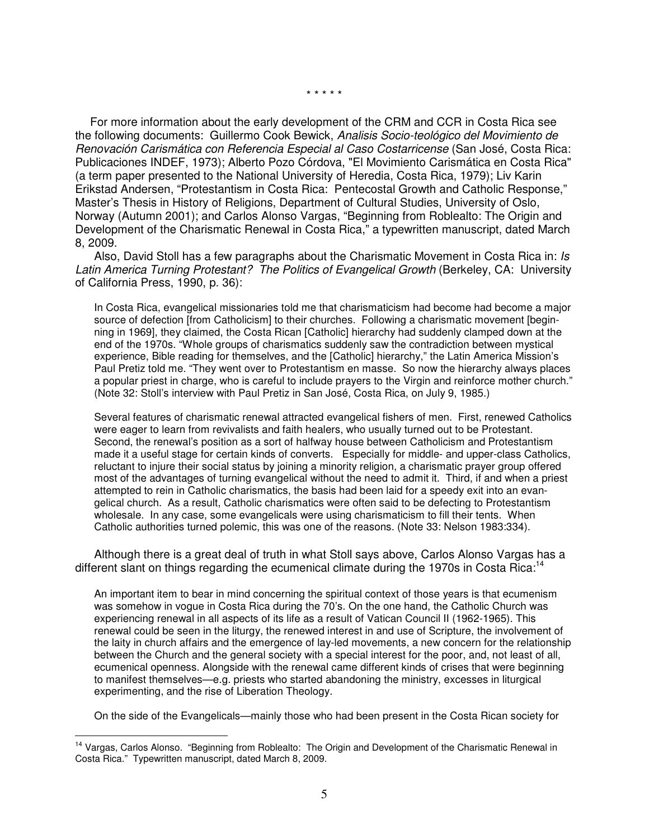\* \* \* \* \*

For more information about the early development of the CRM and CCR in Costa Rica see the following documents: Guillermo Cook Bewick, Analisis Socio-teológico del Movimiento de Renovación Carismática con Referencia Especial al Caso Costarricense (San José, Costa Rica: Publicaciones INDEF, 1973); Alberto Pozo Córdova, "El Movimiento Carismática en Costa Rica" (a term paper presented to the National University of Heredia, Costa Rica, 1979); Liv Karin Erikstad Andersen, "Protestantism in Costa Rica: Pentecostal Growth and Catholic Response," Master's Thesis in History of Religions, Department of Cultural Studies, University of Oslo, Norway (Autumn 2001); and Carlos Alonso Vargas, "Beginning from Roblealto: The Origin and Development of the Charismatic Renewal in Costa Rica," a typewritten manuscript, dated March 8, 2009.

Also, David Stoll has a few paragraphs about the Charismatic Movement in Costa Rica in: Is Latin America Turning Protestant? The Politics of Evangelical Growth (Berkeley, CA: University of California Press, 1990, p. 36):

In Costa Rica, evangelical missionaries told me that charismaticism had become had become a major source of defection [from Catholicism] to their churches. Following a charismatic movement [beginning in 1969], they claimed, the Costa Rican [Catholic] hierarchy had suddenly clamped down at the end of the 1970s. "Whole groups of charismatics suddenly saw the contradiction between mystical experience, Bible reading for themselves, and the [Catholic] hierarchy," the Latin America Mission's Paul Pretiz told me. "They went over to Protestantism en masse. So now the hierarchy always places a popular priest in charge, who is careful to include prayers to the Virgin and reinforce mother church." (Note 32: Stoll's interview with Paul Pretiz in San José, Costa Rica, on July 9, 1985.)

Several features of charismatic renewal attracted evangelical fishers of men. First, renewed Catholics were eager to learn from revivalists and faith healers, who usually turned out to be Protestant. Second, the renewal's position as a sort of halfway house between Catholicism and Protestantism made it a useful stage for certain kinds of converts. Especially for middle- and upper-class Catholics, reluctant to injure their social status by joining a minority religion, a charismatic prayer group offered most of the advantages of turning evangelical without the need to admit it. Third, if and when a priest attempted to rein in Catholic charismatics, the basis had been laid for a speedy exit into an evangelical church. As a result, Catholic charismatics were often said to be defecting to Protestantism wholesale. In any case, some evangelicals were using charismaticism to fill their tents. When Catholic authorities turned polemic, this was one of the reasons. (Note 33: Nelson 1983:334).

 Although there is a great deal of truth in what Stoll says above, Carlos Alonso Vargas has a different slant on things regarding the ecumenical climate during the 1970s in Costa Rica:<sup>14</sup>

An important item to bear in mind concerning the spiritual context of those years is that ecumenism was somehow in vogue in Costa Rica during the 70's. On the one hand, the Catholic Church was experiencing renewal in all aspects of its life as a result of Vatican Council II (1962-1965). This renewal could be seen in the liturgy, the renewed interest in and use of Scripture, the involvement of the laity in church affairs and the emergence of lay-led movements, a new concern for the relationship between the Church and the general society with a special interest for the poor, and, not least of all, ecumenical openness. Alongside with the renewal came different kinds of crises that were beginning to manifest themselves—e.g. priests who started abandoning the ministry, excesses in liturgical experimenting, and the rise of Liberation Theology.

On the side of the Evangelicals—mainly those who had been present in the Costa Rican society for

 $\overline{a}$ 

<sup>&</sup>lt;sup>14</sup> Vargas, Carlos Alonso. "Beginning from Roblealto: The Origin and Development of the Charismatic Renewal in Costa Rica." Typewritten manuscript, dated March 8, 2009.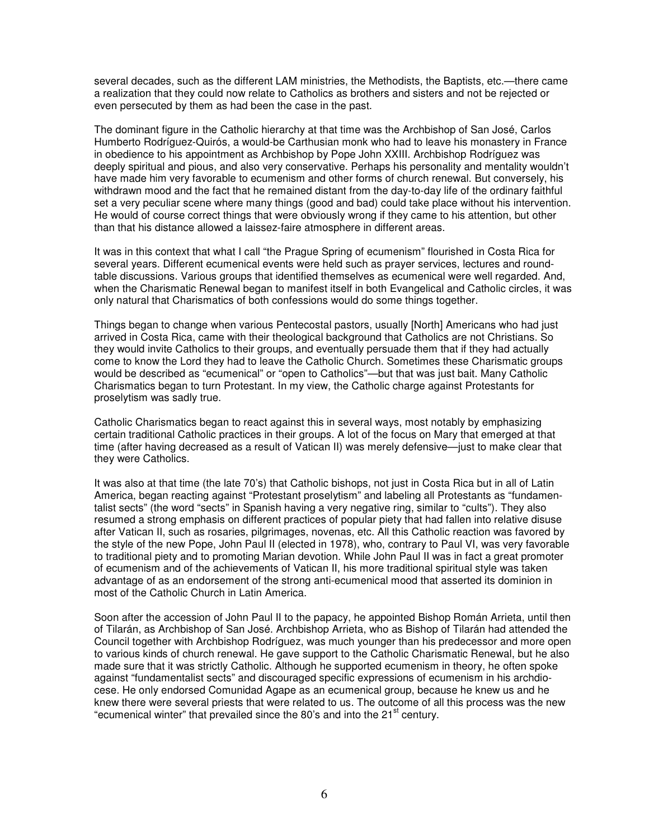several decades, such as the different LAM ministries, the Methodists, the Baptists, etc.—there came a realization that they could now relate to Catholics as brothers and sisters and not be rejected or even persecuted by them as had been the case in the past.

The dominant figure in the Catholic hierarchy at that time was the Archbishop of San José, Carlos Humberto Rodríguez-Quirós, a would-be Carthusian monk who had to leave his monastery in France in obedience to his appointment as Archbishop by Pope John XXIII. Archbishop Rodríguez was deeply spiritual and pious, and also very conservative. Perhaps his personality and mentality wouldn't have made him very favorable to ecumenism and other forms of church renewal. But conversely, his withdrawn mood and the fact that he remained distant from the day-to-day life of the ordinary faithful set a very peculiar scene where many things (good and bad) could take place without his intervention. He would of course correct things that were obviously wrong if they came to his attention, but other than that his distance allowed a laissez-faire atmosphere in different areas.

It was in this context that what I call "the Prague Spring of ecumenism" flourished in Costa Rica for several years. Different ecumenical events were held such as prayer services, lectures and roundtable discussions. Various groups that identified themselves as ecumenical were well regarded. And, when the Charismatic Renewal began to manifest itself in both Evangelical and Catholic circles, it was only natural that Charismatics of both confessions would do some things together.

Things began to change when various Pentecostal pastors, usually [North] Americans who had just arrived in Costa Rica, came with their theological background that Catholics are not Christians. So they would invite Catholics to their groups, and eventually persuade them that if they had actually come to know the Lord they had to leave the Catholic Church. Sometimes these Charismatic groups would be described as "ecumenical" or "open to Catholics"—but that was just bait. Many Catholic Charismatics began to turn Protestant. In my view, the Catholic charge against Protestants for proselytism was sadly true.

Catholic Charismatics began to react against this in several ways, most notably by emphasizing certain traditional Catholic practices in their groups. A lot of the focus on Mary that emerged at that time (after having decreased as a result of Vatican II) was merely defensive—just to make clear that they were Catholics.

It was also at that time (the late 70's) that Catholic bishops, not just in Costa Rica but in all of Latin America, began reacting against "Protestant proselytism" and labeling all Protestants as "fundamentalist sects" (the word "sects" in Spanish having a very negative ring, similar to "cults"). They also resumed a strong emphasis on different practices of popular piety that had fallen into relative disuse after Vatican II, such as rosaries, pilgrimages, novenas, etc. All this Catholic reaction was favored by the style of the new Pope, John Paul II (elected in 1978), who, contrary to Paul VI, was very favorable to traditional piety and to promoting Marian devotion. While John Paul II was in fact a great promoter of ecumenism and of the achievements of Vatican II, his more traditional spiritual style was taken advantage of as an endorsement of the strong anti-ecumenical mood that asserted its dominion in most of the Catholic Church in Latin America.

Soon after the accession of John Paul II to the papacy, he appointed Bishop Román Arrieta, until then of Tilarán, as Archbishop of San José. Archbishop Arrieta, who as Bishop of Tilarán had attended the Council together with Archbishop Rodríguez, was much younger than his predecessor and more open to various kinds of church renewal. He gave support to the Catholic Charismatic Renewal, but he also made sure that it was strictly Catholic. Although he supported ecumenism in theory, he often spoke against "fundamentalist sects" and discouraged specific expressions of ecumenism in his archdiocese. He only endorsed Comunidad Agape as an ecumenical group, because he knew us and he knew there were several priests that were related to us. The outcome of all this process was the new "ecumenical winter" that prevailed since the 80's and into the 21<sup>st</sup> century.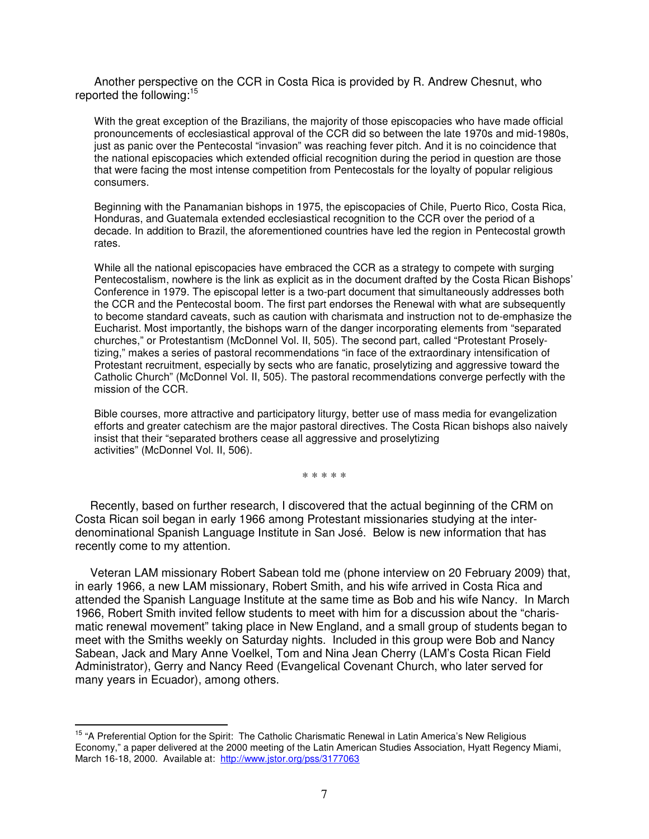Another perspective on the CCR in Costa Rica is provided by R. Andrew Chesnut, who reported the following:<sup>15</sup>

With the great exception of the Brazilians, the majority of those episcopacies who have made official pronouncements of ecclesiastical approval of the CCR did so between the late 1970s and mid-1980s, just as panic over the Pentecostal "invasion" was reaching fever pitch. And it is no coincidence that the national episcopacies which extended official recognition during the period in question are those that were facing the most intense competition from Pentecostals for the loyalty of popular religious consumers.

Beginning with the Panamanian bishops in 1975, the episcopacies of Chile, Puerto Rico, Costa Rica, Honduras, and Guatemala extended ecclesiastical recognition to the CCR over the period of a decade. In addition to Brazil, the aforementioned countries have led the region in Pentecostal growth rates.

While all the national episcopacies have embraced the CCR as a strategy to compete with surging Pentecostalism, nowhere is the link as explicit as in the document drafted by the Costa Rican Bishops' Conference in 1979. The episcopal letter is a two-part document that simultaneously addresses both the CCR and the Pentecostal boom. The first part endorses the Renewal with what are subsequently to become standard caveats, such as caution with charismata and instruction not to de-emphasize the Eucharist. Most importantly, the bishops warn of the danger incorporating elements from "separated churches," or Protestantism (McDonnel Vol. II, 505). The second part, called "Protestant Proselytizing," makes a series of pastoral recommendations "in face of the extraordinary intensification of Protestant recruitment, especially by sects who are fanatic, proselytizing and aggressive toward the Catholic Church" (McDonnel Vol. II, 505). The pastoral recommendations converge perfectly with the mission of the CCR.

Bible courses, more attractive and participatory liturgy, better use of mass media for evangelization efforts and greater catechism are the major pastoral directives. The Costa Rican bishops also naively insist that their "separated brothers cease all aggressive and proselytizing activities" (McDonnel Vol. II, 506).

\* \* \* \* \*

Recently, based on further research, I discovered that the actual beginning of the CRM on Costa Rican soil began in early 1966 among Protestant missionaries studying at the interdenominational Spanish Language Institute in San José. Below is new information that has recently come to my attention.

Veteran LAM missionary Robert Sabean told me (phone interview on 20 February 2009) that, in early 1966, a new LAM missionary, Robert Smith, and his wife arrived in Costa Rica and attended the Spanish Language Institute at the same time as Bob and his wife Nancy. In March 1966, Robert Smith invited fellow students to meet with him for a discussion about the "charismatic renewal movement" taking place in New England, and a small group of students began to meet with the Smiths weekly on Saturday nights. Included in this group were Bob and Nancy Sabean, Jack and Mary Anne Voelkel, Tom and Nina Jean Cherry (LAM's Costa Rican Field Administrator), Gerry and Nancy Reed (Evangelical Covenant Church, who later served for many years in Ecuador), among others.

 $\overline{a}$ 

<sup>&</sup>lt;sup>15</sup> "A Preferential Option for the Spirit: The Catholic Charismatic Renewal in Latin America's New Religious Economy," a paper delivered at the 2000 meeting of the Latin American Studies Association, Hyatt Regency Miami, March 16-18, 2000. Available at: <http://www.jstor.org/pss/3177063>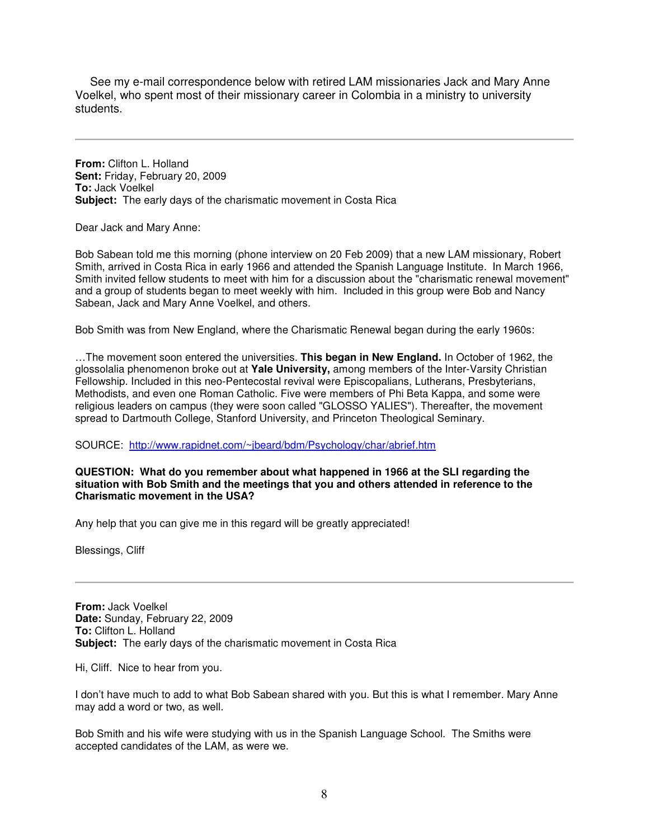See my e-mail correspondence below with retired LAM missionaries Jack and Mary Anne Voelkel, who spent most of their missionary career in Colombia in a ministry to university students.

**From:** Clifton L. Holland **Sent:** Friday, February 20, 2009 **To:** Jack Voelkel **Subject:** The early days of the charismatic movement in Costa Rica

Dear Jack and Mary Anne:

Bob Sabean told me this morning (phone interview on 20 Feb 2009) that a new LAM missionary, Robert Smith, arrived in Costa Rica in early 1966 and attended the Spanish Language Institute. In March 1966, Smith invited fellow students to meet with him for a discussion about the "charismatic renewal movement" and a group of students began to meet weekly with him. Included in this group were Bob and Nancy Sabean, Jack and Mary Anne Voelkel, and others.

Bob Smith was from New England, where the Charismatic Renewal began during the early 1960s:

…The movement soon entered the universities. **This began in New England.** In October of 1962, the glossolalia phenomenon broke out at **Yale University,** among members of the Inter-Varsity Christian Fellowship. Included in this neo-Pentecostal revival were Episcopalians, Lutherans, Presbyterians, Methodists, and even one Roman Catholic. Five were members of Phi Beta Kappa, and some were religious leaders on campus (they were soon called "GLOSSO YALIES"). Thereafter, the movement spread to Dartmouth College, Stanford University, and Princeton Theological Seminary.

SOURCE: <http://www.rapidnet.com/~jbeard/bdm/Psychology/char/abrief.htm>

**QUESTION: What do you remember about what happened in 1966 at the SLI regarding the situation with Bob Smith and the meetings that you and others attended in reference to the Charismatic movement in the USA?** 

Any help that you can give me in this regard will be greatly appreciated!

Blessings, Cliff

**From:** Jack Voelkel **Date:** Sunday, February 22, 2009 **To:** Clifton L. Holland **Subject:** The early days of the charismatic movement in Costa Rica

Hi, Cliff. Nice to hear from you.

I don't have much to add to what Bob Sabean shared with you. But this is what I remember. Mary Anne may add a word or two, as well.

Bob Smith and his wife were studying with us in the Spanish Language School. The Smiths were accepted candidates of the LAM, as were we.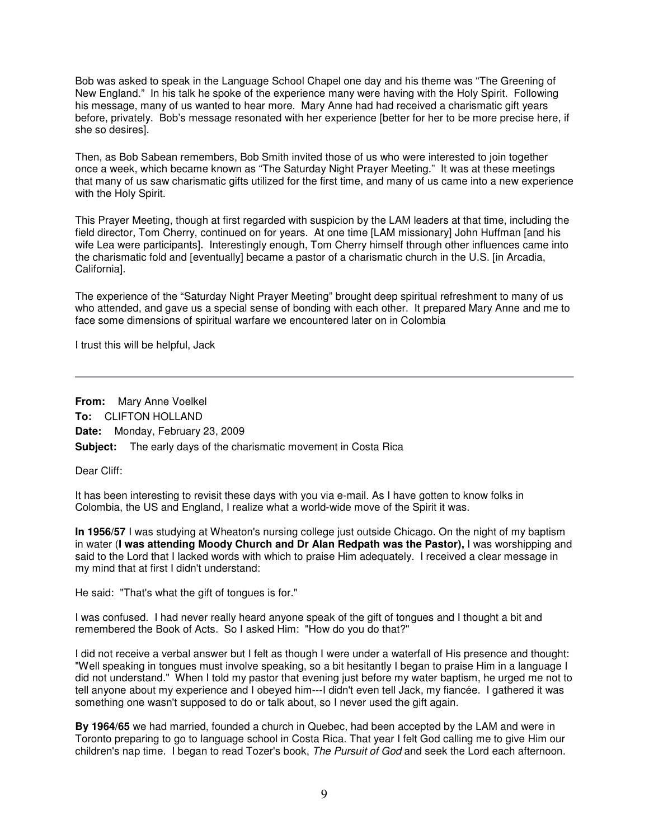Bob was asked to speak in the Language School Chapel one day and his theme was "The Greening of New England." In his talk he spoke of the experience many were having with the Holy Spirit. Following his message, many of us wanted to hear more. Mary Anne had had received a charismatic gift years before, privately. Bob's message resonated with her experience [better for her to be more precise here, if she so desires].

Then, as Bob Sabean remembers, Bob Smith invited those of us who were interested to join together once a week, which became known as "The Saturday Night Prayer Meeting." It was at these meetings that many of us saw charismatic gifts utilized for the first time, and many of us came into a new experience with the Holy Spirit.

This Prayer Meeting, though at first regarded with suspicion by the LAM leaders at that time, including the field director, Tom Cherry, continued on for years. At one time [LAM missionary] John Huffman [and his wife Lea were participants]. Interestingly enough, Tom Cherry himself through other influences came into the charismatic fold and [eventually] became a pastor of a charismatic church in the U.S. [in Arcadia, California].

The experience of the "Saturday Night Prayer Meeting" brought deep spiritual refreshment to many of us who attended, and gave us a special sense of bonding with each other. It prepared Mary Anne and me to face some dimensions of spiritual warfare we encountered later on in Colombia

I trust this will be helpful, Jack

**From:** Mary Anne Voelkel **To:** CLIFTON HOLLAND **Date:** Monday, February 23, 2009 **Subject:** The early days of the charismatic movement in Costa Rica

Dear Cliff:

It has been interesting to revisit these days with you via e-mail. As I have gotten to know folks in Colombia, the US and England, I realize what a world-wide move of the Spirit it was.

**In 1956/57** I was studying at Wheaton's nursing college just outside Chicago. On the night of my baptism in water (**I was attending Moody Church and Dr Alan Redpath was the Pastor),** I was worshipping and said to the Lord that I lacked words with which to praise Him adequately. I received a clear message in my mind that at first I didn't understand:

He said: "That's what the gift of tongues is for."

I was confused. I had never really heard anyone speak of the gift of tongues and I thought a bit and remembered the Book of Acts. So I asked Him: "How do you do that?"

I did not receive a verbal answer but I felt as though I were under a waterfall of His presence and thought: "Well speaking in tongues must involve speaking, so a bit hesitantly I began to praise Him in a language I did not understand." When I told my pastor that evening just before my water baptism, he urged me not to tell anyone about my experience and I obeyed him---I didn't even tell Jack, my fiancée. I gathered it was something one wasn't supposed to do or talk about, so I never used the gift again.

**By 1964/65** we had married, founded a church in Quebec, had been accepted by the LAM and were in Toronto preparing to go to language school in Costa Rica. That year I felt God calling me to give Him our children's nap time. I began to read Tozer's book, The Pursuit of God and seek the Lord each afternoon.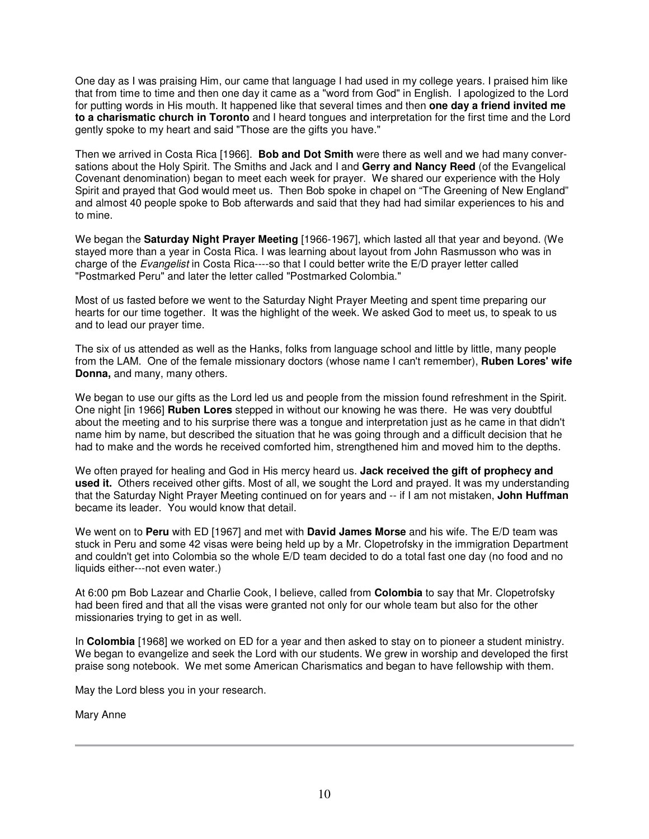One day as I was praising Him, our came that language I had used in my college years. I praised him like that from time to time and then one day it came as a "word from God" in English. I apologized to the Lord for putting words in His mouth. It happened like that several times and then **one day a friend invited me to a charismatic church in Toronto** and I heard tongues and interpretation for the first time and the Lord gently spoke to my heart and said "Those are the gifts you have."

Then we arrived in Costa Rica [1966]. **Bob and Dot Smith** were there as well and we had many conversations about the Holy Spirit. The Smiths and Jack and I and **Gerry and Nancy Reed** (of the Evangelical Covenant denomination) began to meet each week for prayer. We shared our experience with the Holy Spirit and prayed that God would meet us. Then Bob spoke in chapel on "The Greening of New England" and almost 40 people spoke to Bob afterwards and said that they had had similar experiences to his and to mine.

We began the **Saturday Night Prayer Meeting** [1966-1967], which lasted all that year and beyond. (We stayed more than a year in Costa Rica. I was learning about layout from John Rasmusson who was in charge of the Evangelist in Costa Rica----so that I could better write the E/D prayer letter called "Postmarked Peru" and later the letter called "Postmarked Colombia."

Most of us fasted before we went to the Saturday Night Prayer Meeting and spent time preparing our hearts for our time together. It was the highlight of the week. We asked God to meet us, to speak to us and to lead our prayer time.

The six of us attended as well as the Hanks, folks from language school and little by little, many people from the LAM. One of the female missionary doctors (whose name I can't remember), **Ruben Lores' wife Donna,** and many, many others.

We began to use our gifts as the Lord led us and people from the mission found refreshment in the Spirit. One night [in 1966] **Ruben Lores** stepped in without our knowing he was there. He was very doubtful about the meeting and to his surprise there was a tongue and interpretation just as he came in that didn't name him by name, but described the situation that he was going through and a difficult decision that he had to make and the words he received comforted him, strengthened him and moved him to the depths.

We often prayed for healing and God in His mercy heard us. **Jack received the gift of prophecy and used it.** Others received other gifts. Most of all, we sought the Lord and prayed. It was my understanding that the Saturday Night Prayer Meeting continued on for years and -- if I am not mistaken, **John Huffman** became its leader. You would know that detail.

We went on to **Peru** with ED [1967] and met with **David James Morse** and his wife. The E/D team was stuck in Peru and some 42 visas were being held up by a Mr. Clopetrofsky in the immigration Department and couldn't get into Colombia so the whole E/D team decided to do a total fast one day (no food and no liquids either---not even water.)

At 6:00 pm Bob Lazear and Charlie Cook, I believe, called from **Colombia** to say that Mr. Clopetrofsky had been fired and that all the visas were granted not only for our whole team but also for the other missionaries trying to get in as well.

In **Colombia** [1968] we worked on ED for a year and then asked to stay on to pioneer a student ministry. We began to evangelize and seek the Lord with our students. We grew in worship and developed the first praise song notebook. We met some American Charismatics and began to have fellowship with them.

May the Lord bless you in your research.

Mary Anne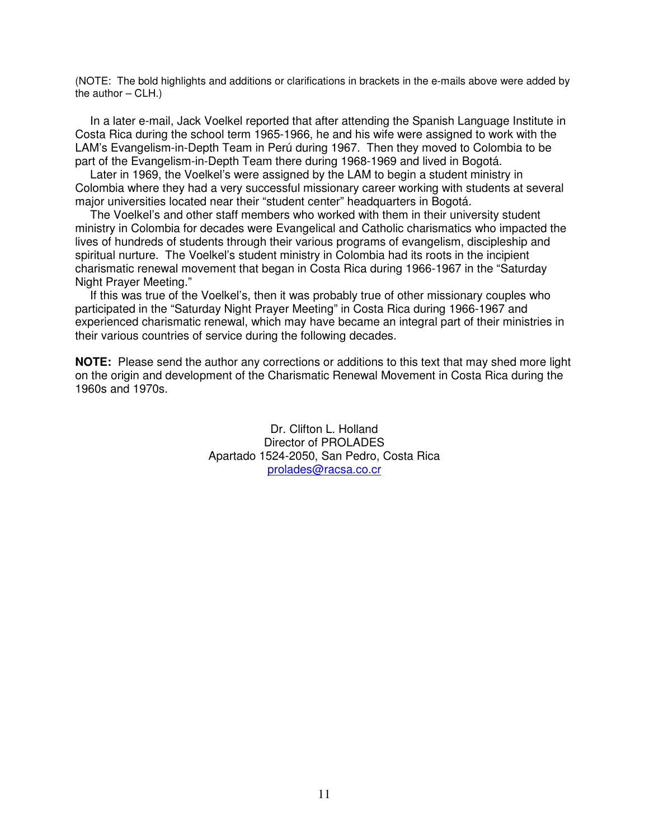(NOTE: The bold highlights and additions or clarifications in brackets in the e-mails above were added by the author  $-$  CLH.)

In a later e-mail, Jack Voelkel reported that after attending the Spanish Language Institute in Costa Rica during the school term 1965-1966, he and his wife were assigned to work with the LAM's Evangelism-in-Depth Team in Perú during 1967. Then they moved to Colombia to be part of the Evangelism-in-Depth Team there during 1968-1969 and lived in Bogotá.

Later in 1969, the Voelkel's were assigned by the LAM to begin a student ministry in Colombia where they had a very successful missionary career working with students at several major universities located near their "student center" headquarters in Bogotá.

The Voelkel's and other staff members who worked with them in their university student ministry in Colombia for decades were Evangelical and Catholic charismatics who impacted the lives of hundreds of students through their various programs of evangelism, discipleship and spiritual nurture. The Voelkel's student ministry in Colombia had its roots in the incipient charismatic renewal movement that began in Costa Rica during 1966-1967 in the "Saturday Night Prayer Meeting."

If this was true of the Voelkel's, then it was probably true of other missionary couples who participated in the "Saturday Night Prayer Meeting" in Costa Rica during 1966-1967 and experienced charismatic renewal, which may have became an integral part of their ministries in their various countries of service during the following decades.

**NOTE:** Please send the author any corrections or additions to this text that may shed more light on the origin and development of the Charismatic Renewal Movement in Costa Rica during the 1960s and 1970s.

> Dr. Clifton L. Holland Director of PROLADES Apartado 1524-2050, San Pedro, Costa Rica [prolades@racsa.co.cr](mailto:prolades@racsa.co.cr)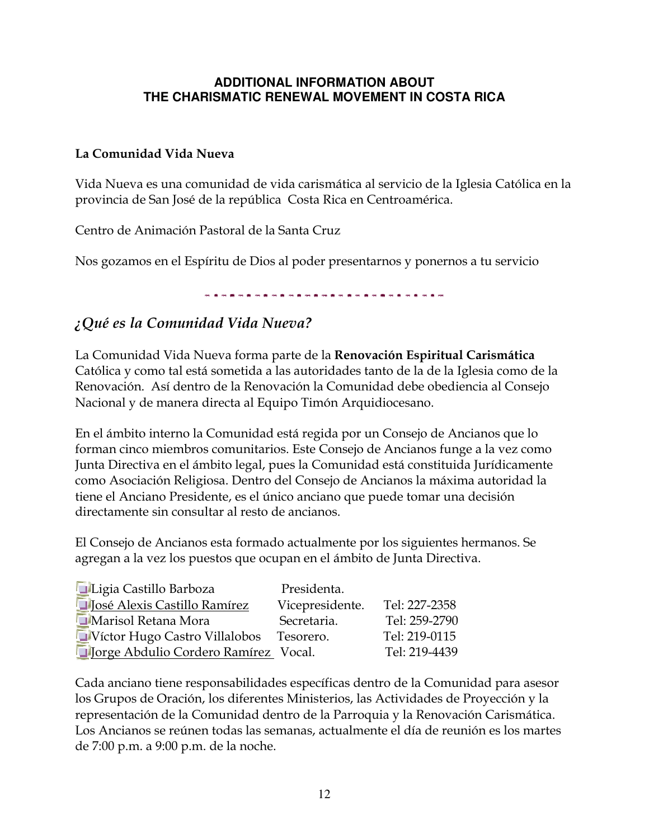## **ADDITIONAL INFORMATION ABOUT THE CHARISMATIC RENEWAL MOVEMENT IN COSTA RICA**

## La Comunidad Vida Nueva

Vida Nueva es una comunidad de vida carismática al servicio de la Iglesia Católica en la provincia de San José de la república Costa Rica en Centroamérica.

Centro de Animación Pastoral de la Santa Cruz

Nos gozamos en el Espíritu de Dios al poder presentarnos y ponernos a tu servicio

医施尔德氏神经病 医阿尔德氏神经神经神经神经神经神经神经神经

# ¿Qué es la Comunidad Vida Nueva?

La Comunidad Vida Nueva forma parte de la Renovación Espiritual Carismática Católica y como tal está sometida a las autoridades tanto de la de la Iglesia como de la Renovación. Así dentro de la Renovación la Comunidad debe obediencia al Consejo Nacional y de manera directa al Equipo Timón Arquidiocesano.

En el ámbito interno la Comunidad está regida por un Consejo de Ancianos que lo forman cinco miembros comunitarios. Este Consejo de Ancianos funge a la vez como Junta Directiva en el ámbito legal, pues la Comunidad está constituida Jurídicamente como Asociación Religiosa. Dentro del Consejo de Ancianos la máxima autoridad la tiene el Anciano Presidente, es el único anciano que puede tomar una decisión directamente sin consultar al resto de ancianos.

El Consejo de Ancianos esta formado actualmente por los siguientes hermanos. Se agregan a la vez los puestos que ocupan en el ámbito de Junta Directiva.

| Ligia Castillo Barboza                | Presidenta.     |               |
|---------------------------------------|-----------------|---------------|
| <b>D</b> José Alexis Castillo Ramírez | Vicepresidente. | Tel: 227-2358 |
| Marisol Retana Mora                   | Secretaria.     | Tel: 259-2790 |
| Víctor Hugo Castro Villalobos         | Tesorero.       | Tel: 219-0115 |
| Jorge Abdulio Cordero Ramírez Vocal.  |                 | Tel: 219-4439 |

Cada anciano tiene responsabilidades específicas dentro de la Comunidad para asesor los Grupos de Oración, los diferentes Ministerios, las Actividades de Proyección y la representación de la Comunidad dentro de la Parroquia y la Renovación Carismática. Los Ancianos se reúnen todas las semanas, actualmente el día de reunión es los martes de 7:00 p.m. a 9:00 p.m. de la noche.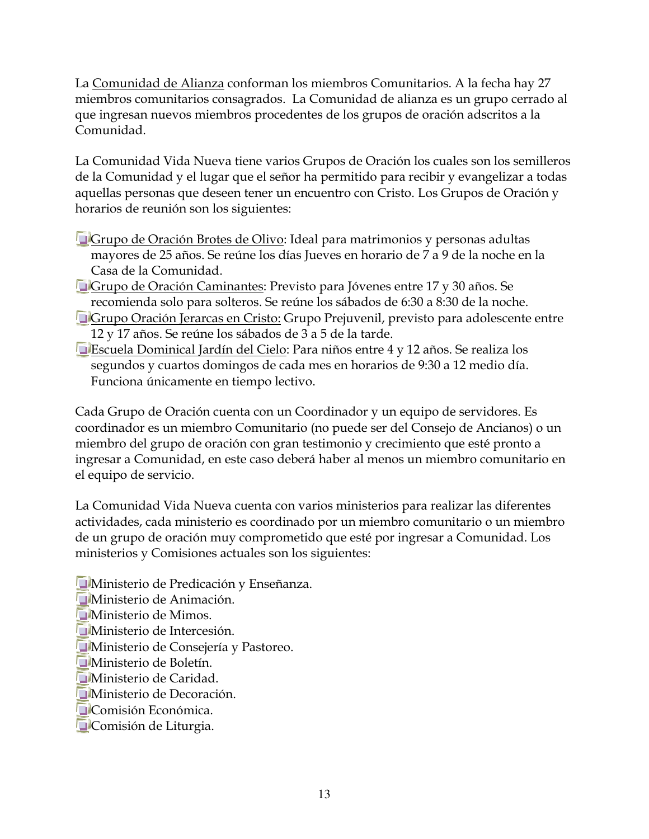La [Comunidad de Alianza](http://reocities.com/Athens/olympus/7383/pagina_n.htm) conforman los miembros Comunitarios. A la fecha hay 27 miembros comunitarios consagrados. La Comunidad de alianza es un grupo cerrado al que ingresan nuevos miembros procedentes de los grupos de oración adscritos a la Comunidad.

La Comunidad Vida Nueva tiene varios Grupos de Oración los cuales son los semilleros de la Comunidad y el lugar que el señor ha permitido para recibir y evangelizar a todas aquellas personas que deseen tener un encuentro con Cristo. Los Grupos de Oración y horarios de reunión son los siguientes:

- Grupo de Oración Brotes de Olivo: Ideal para matrimonios y personas adultas mayores de 25 años. Se reúne los días Jueves en horario de 7 a 9 de la noche en la Casa de la Comunidad.
- Grupo de Oración Caminantes: Previsto para Jóvenes entre 17 y 30 años. Se recomienda solo para solteros. Se reúne los sábados de 6:30 a 8:30 de la noche.
- **Grupo Oración Jerarcas en Cristo: Grupo Prejuvenil, previsto para adolescente entre** 12 y 17 años. Se reúne los sábados de 3 a 5 de la tarde.
- Escuela Dominical Jardín del Cielo: Para niños entre 4 y 12 años. Se realiza los segundos y cuartos domingos de cada mes en horarios de 9:30 a 12 medio día. Funciona únicamente en tiempo lectivo.

Cada Grupo de Oración cuenta con un Coordinador y un equipo de servidores. Es coordinador es un miembro Comunitario (no puede ser del Consejo de Ancianos) o un miembro del grupo de oración con gran testimonio y crecimiento que esté pronto a ingresar a Comunidad, en este caso deberá haber al menos un miembro comunitario en el equipo de servicio.

La Comunidad Vida Nueva cuenta con varios ministerios para realizar las diferentes actividades, cada ministerio es coordinado por un miembro comunitario o un miembro de un grupo de oración muy comprometido que esté por ingresar a Comunidad. Los ministerios y Comisiones actuales son los siguientes:

**Ministerio de Predicación y Enseñanza. Ministerio de Animación. Ministerio de Mimos. Ministerio de Intercesión. Ministerio de Consejería y Pastoreo.** Ministerio de Boletín. **H**Ministerio de Caridad. **Ministerio de Decoración. Comisión Económica. Comisión de Liturgia.**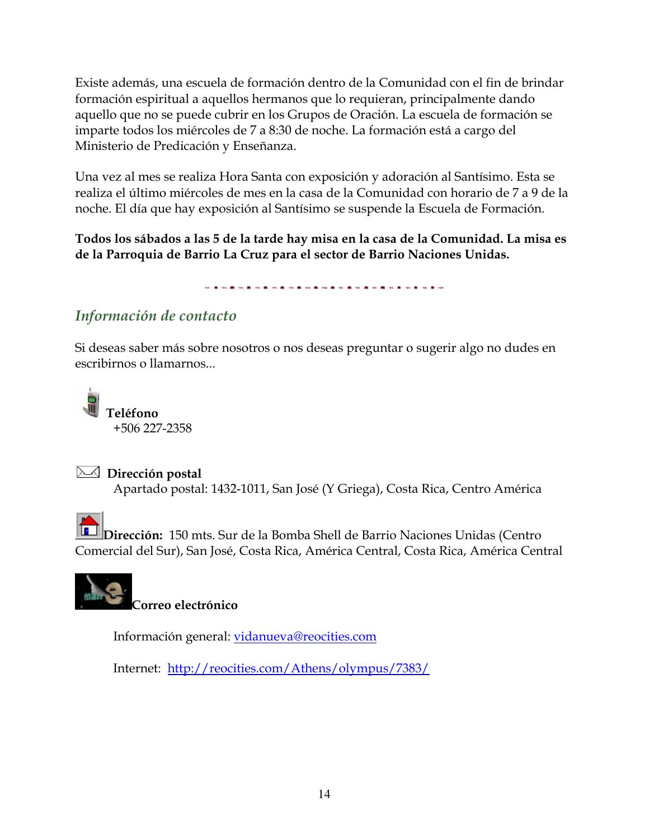Existe además, una escuela de formación dentro de la Comunidad con el fin de brindar formación espiritual a aquellos hermanos que lo requieran, principalmente dando aquello que no se puede cubrir en los Grupos de Oración. La escuela de formación se imparte todos los miércoles de 7 a 8:30 de noche. La formación está a cargo del Ministerio de Predicación y Enseñanza.

Una vez al mes se realiza Hora Santa con exposición y adoración al Santísimo. Esta se realiza el último miércoles de mes en la casa de la Comunidad con horario de 7 a 9 de la noche. El día que hay exposición al Santísimo se suspende la Escuela de Formación.

Todos los sábados a las 5 de la tarde hay misa en la casa de la Comunidad. La misa es de la Parroquia de Barrio La Cruz para el sector de Barrio Naciones Unidas.

# Información de contacto

Si deseas saber más sobre nosotros o nos deseas preguntar o sugerir algo no dudes en escribirnos o llamarnos...





### $\triangleright$  Dirección postal

Apartado postal: 1432-1011, San José (Y Griega), Costa Rica, Centro América

**Dirección:** 150 mts. Sur de la Bomba Shell de Barrio Naciones Unidas (Centro Comercial del Sur), San José, Costa Rica, América Central, Costa Rica, América Central

Correo electrónico

Información general: [vidanueva@reocities.com](mailto:vidanueva@reocities.com)

Internet: <http://reocities.com/Athens/olympus/7383/>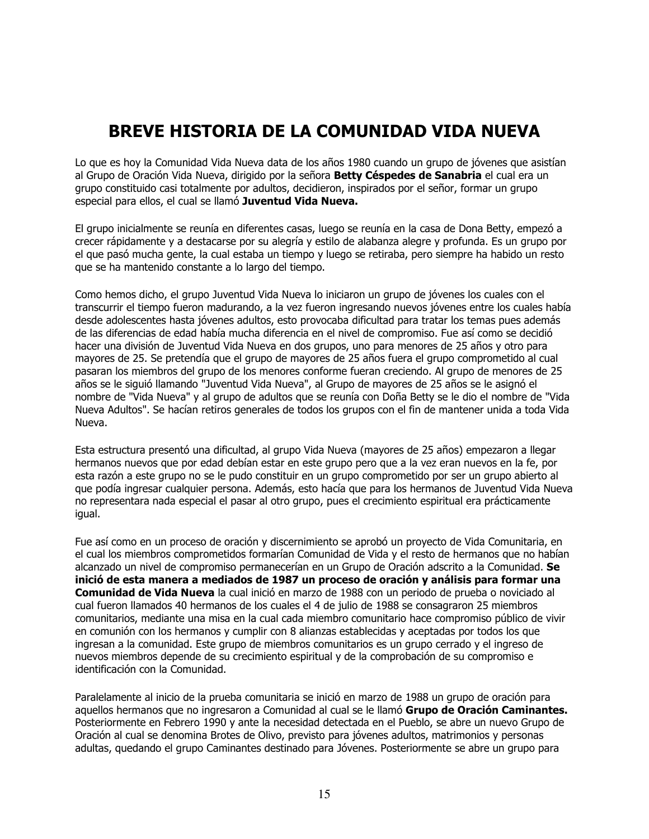# BREVE HISTORIA DE LA COMUNIDAD VIDA NUEVA

Lo que es hoy la Comunidad Vida Nueva data de los años 1980 cuando un grupo de jóvenes que asistían al Grupo de Oración Vida Nueva, dirigido por la señora Betty Céspedes de Sanabria el cual era un grupo constituido casi totalmente por adultos, decidieron, inspirados por el señor, formar un grupo especial para ellos, el cual se llamó Juventud Vida Nueva.

El grupo inicialmente se reunía en diferentes casas, luego se reunía en la casa de Dona Betty, empezó a crecer rápidamente y a destacarse por su alegría y estilo de alabanza alegre y profunda. Es un grupo por el que pasó mucha gente, la cual estaba un tiempo y luego se retiraba, pero siempre ha habido un resto que se ha mantenido constante a lo largo del tiempo.

Como hemos dicho, el grupo Juventud Vida Nueva lo iniciaron un grupo de jóvenes los cuales con el transcurrir el tiempo fueron madurando, a la vez fueron ingresando nuevos jóvenes entre los cuales había desde adolescentes hasta jóvenes adultos, esto provocaba dificultad para tratar los temas pues además de las diferencias de edad había mucha diferencia en el nivel de compromiso. Fue así como se decidió hacer una división de Juventud Vida Nueva en dos grupos, uno para menores de 25 años y otro para mayores de 25. Se pretendía que el grupo de mayores de 25 años fuera el grupo comprometido al cual pasaran los miembros del grupo de los menores conforme fueran creciendo. Al grupo de menores de 25 años se le siguió llamando "Juventud Vida Nueva", al Grupo de mayores de 25 años se le asignó el nombre de "Vida Nueva" y al grupo de adultos que se reunía con Doña Betty se le dio el nombre de "Vida Nueva Adultos". Se hacían retiros generales de todos los grupos con el fin de mantener unida a toda Vida Nueva.

Esta estructura presentó una dificultad, al grupo Vida Nueva (mayores de 25 años) empezaron a llegar hermanos nuevos que por edad debían estar en este grupo pero que a la vez eran nuevos en la fe, por esta razón a este grupo no se le pudo constituir en un grupo comprometido por ser un grupo abierto al que podía ingresar cualquier persona. Además, esto hacía que para los hermanos de Juventud Vida Nueva no representara nada especial el pasar al otro grupo, pues el crecimiento espiritual era prácticamente igual.

Fue así como en un proceso de oración y discernimiento se aprobó un proyecto de Vida Comunitaria, en el cual los miembros comprometidos formarían Comunidad de Vida y el resto de hermanos que no habían alcanzado un nivel de compromiso permanecerían en un Grupo de Oración adscrito a la Comunidad. Se inició de esta manera a mediados de 1987 un proceso de oración y análisis para formar una Comunidad de Vida Nueva la cual inició en marzo de 1988 con un periodo de prueba o noviciado al cual fueron llamados 40 hermanos de los cuales el 4 de julio de 1988 se consagraron 25 miembros comunitarios, mediante una misa en la cual cada miembro comunitario hace compromiso público de vivir en comunión con los hermanos y cumplir con 8 alianzas establecidas y aceptadas por todos los que ingresan a la comunidad. Este grupo de miembros comunitarios es un grupo cerrado y el ingreso de nuevos miembros depende de su crecimiento espiritual y de la comprobación de su compromiso e identificación con la Comunidad.

Paralelamente al inicio de la prueba comunitaria se inició en marzo de 1988 un grupo de oración para aquellos hermanos que no ingresaron a Comunidad al cual se le llamó Grupo de Oración Caminantes. Posteriormente en Febrero 1990 y ante la necesidad detectada en el Pueblo, se abre un nuevo Grupo de Oración al cual se denomina Brotes de Olivo, previsto para jóvenes adultos, matrimonios y personas adultas, quedando el grupo Caminantes destinado para Jóvenes. Posteriormente se abre un grupo para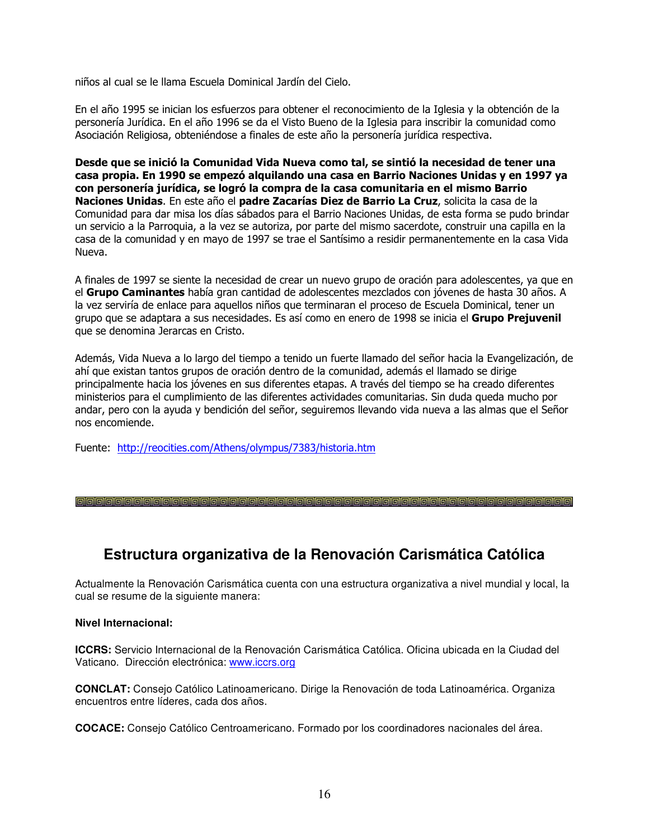niños al cual se le llama Escuela Dominical Jardín del Cielo.

En el año 1995 se inician los esfuerzos para obtener el reconocimiento de la Iglesia y la obtención de la personería Jurídica. En el año 1996 se da el Visto Bueno de la Iglesia para inscribir la comunidad como Asociación Religiosa, obteniéndose a finales de este año la personería jurídica respectiva.

Desde que se inició la Comunidad Vida Nueva como tal, se sintió la necesidad de tener una casa propia. En 1990 se empezó alquilando una casa en Barrio Naciones Unidas y en 1997 ya con personería jurídica, se logró la compra de la casa comunitaria en el mismo Barrio Naciones Unidas. En este año el padre Zacarías Diez de Barrio La Cruz, solicita la casa de la Comunidad para dar misa los días sábados para el Barrio Naciones Unidas, de esta forma se pudo brindar un servicio a la Parroquia, a la vez se autoriza, por parte del mismo sacerdote, construir una capilla en la casa de la comunidad y en mayo de 1997 se trae el Santísimo a residir permanentemente en la casa Vida Nueva.

A finales de 1997 se siente la necesidad de crear un nuevo grupo de oración para adolescentes, ya que en el Grupo Caminantes había gran cantidad de adolescentes mezclados con jóvenes de hasta 30 años. A la vez serviría de enlace para aquellos niños que terminaran el proceso de Escuela Dominical, tener un grupo que se adaptara a sus necesidades. Es así como en enero de 1998 se inicia el Grupo Prejuvenil que se denomina Jerarcas en Cristo.

Además, Vida Nueva a lo largo del tiempo a tenido un fuerte llamado del señor hacia la Evangelización, de ahí que existan tantos grupos de oración dentro de la comunidad, además el llamado se dirige principalmente hacia los jóvenes en sus diferentes etapas. A través del tiempo se ha creado diferentes ministerios para el cumplimiento de las diferentes actividades comunitarias. Sin duda queda mucho por andar, pero con la ayuda y bendición del señor, seguiremos llevando vida nueva a las almas que el Señor nos encomiende.

Fuente: <http://reocities.com/Athens/olympus/7383/historia.htm>

## **Estructura organizativa de la Renovación Carismática Católica**

Actualmente la Renovación Carismática cuenta con una estructura organizativa a nivel mundial y local, la cual se resume de la siguiente manera:

#### **Nivel Internacional:**

**ICCRS:** Servicio Internacional de la Renovación Carismática Católica. Oficina ubicada en la Ciudad del Vaticano. Dirección electrónica: [www.iccrs.org](http://www.iccrs.org/)

**CONCLAT:** Consejo Católico Latinoamericano. Dirige la Renovación de toda Latinoamérica. Organiza encuentros entre líderes, cada dos años.

**COCACE:** Consejo Católico Centroamericano. Formado por los coordinadores nacionales del área.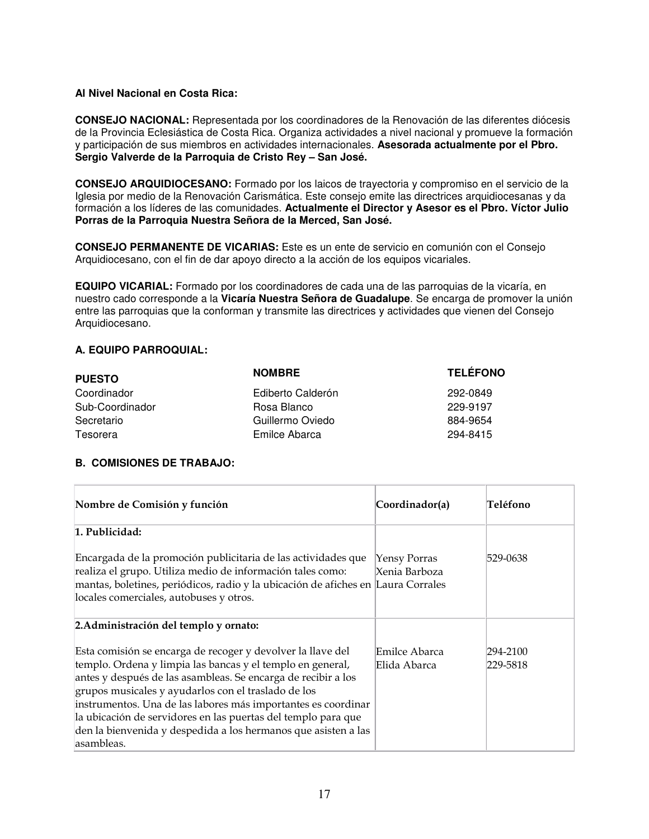### **Al Nivel Nacional en Costa Rica:**

**CONSEJO NACIONAL:** Representada por los coordinadores de la Renovación de las diferentes diócesis de la Provincia Eclesiástica de Costa Rica. Organiza actividades a nivel nacional y promueve la formación y participación de sus miembros en actividades internacionales. **Asesorada actualmente por el Pbro. Sergio Valverde de la Parroquia de Cristo Rey – San José.** 

**CONSEJO ARQUIDIOCESANO:** Formado por los laicos de trayectoria y compromiso en el servicio de la Iglesia por medio de la Renovación Carismática. Este consejo emite las directrices arquidiocesanas y da formación a los líderes de las comunidades. **Actualmente el Director y Asesor es el Pbro. Víctor Julio Porras de la Parroquia Nuestra Señora de la Merced, San José.**

**CONSEJO PERMANENTE DE VICARIAS:** Este es un ente de servicio en comunión con el Consejo Arquidiocesano, con el fin de dar apoyo directo a la acción de los equipos vicariales.

**EQUIPO VICARIAL:** Formado por los coordinadores de cada una de las parroquias de la vicaría, en nuestro cado corresponde a la **Vicaría Nuestra Señora de Guadalupe**. Se encarga de promover la unión entre las parroquias que la conforman y transmite las directrices y actividades que vienen del Consejo Arquidiocesano.

### **A. EQUIPO PARROQUIAL:**

| <b>PUESTO</b>   | <b>NOMBRE</b>     | <b>TELÉFONO</b> |
|-----------------|-------------------|-----------------|
| Coordinador     | Ediberto Calderón | 292-0849        |
| Sub-Coordinador | Rosa Blanco       | 229-9197        |
| Secretario      | Guillermo Oviedo  | 884-9654        |
| Tesorera        | Emilce Abarca     | 294-8415        |

### **B. COMISIONES DE TRABAJO:**

| Nombre de Comisión y función                                                                                                                                                                                                                                                                                                                                                                                                                                        | Coordinador(a)                | Teléfono             |
|---------------------------------------------------------------------------------------------------------------------------------------------------------------------------------------------------------------------------------------------------------------------------------------------------------------------------------------------------------------------------------------------------------------------------------------------------------------------|-------------------------------|----------------------|
| 1. Publicidad:                                                                                                                                                                                                                                                                                                                                                                                                                                                      |                               |                      |
| Encargada de la promoción publicitaria de las actividades que<br>realiza el grupo. Utiliza medio de información tales como:<br>mantas, boletines, periódicos, radio y la ubicación de afiches en Laura Corrales<br>locales comerciales, autobuses y otros.                                                                                                                                                                                                          | Yensy Porras<br>Xenia Barboza | 529-0638             |
| 2. Administración del templo y ornato:                                                                                                                                                                                                                                                                                                                                                                                                                              |                               |                      |
| Esta comisión se encarga de recoger y devolver la llave del<br>templo. Ordena y limpia las bancas y el templo en general,<br>antes y después de las asambleas. Se encarga de recibir a los<br>grupos musicales y ayudarlos con el traslado de los<br>instrumentos. Una de las labores más importantes es coordinar<br>la ubicación de servidores en las puertas del templo para que<br>den la bienvenida y despedida a los hermanos que asisten a las<br>asambleas. | Emilce Abarca<br>Elida Abarca | 294-2100<br>229-5818 |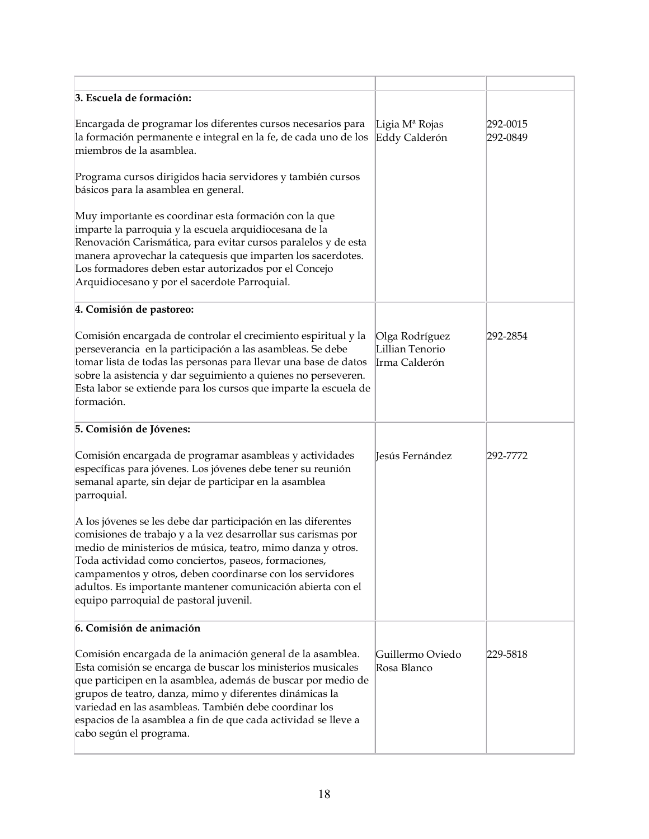| 3. Escuela de formación:                                                                                                                                                                                                                                                                                                                                                                                                    |                                                    |                      |
|-----------------------------------------------------------------------------------------------------------------------------------------------------------------------------------------------------------------------------------------------------------------------------------------------------------------------------------------------------------------------------------------------------------------------------|----------------------------------------------------|----------------------|
| Encargada de programar los diferentes cursos necesarios para<br>la formación permanente e integral en la fe, de cada uno de los<br>miembros de la asamblea.                                                                                                                                                                                                                                                                 | Ligia M <sup>a</sup> Rojas<br>Eddy Calderón        | 292-0015<br>292-0849 |
| Programa cursos dirigidos hacia servidores y también cursos<br>básicos para la asamblea en general.                                                                                                                                                                                                                                                                                                                         |                                                    |                      |
| Muy importante es coordinar esta formación con la que<br>imparte la parroquia y la escuela arquidiocesana de la<br>Renovación Carismática, para evitar cursos paralelos y de esta<br>manera aprovechar la catequesis que imparten los sacerdotes.<br>Los formadores deben estar autorizados por el Concejo<br>Arquidiocesano y por el sacerdote Parroquial.                                                                 |                                                    |                      |
| 4. Comisión de pastoreo:                                                                                                                                                                                                                                                                                                                                                                                                    |                                                    |                      |
| Comisión encargada de controlar el crecimiento espiritual y la<br>perseverancia en la participación a las asambleas. Se debe<br>tomar lista de todas las personas para llevar una base de datos<br>sobre la asistencia y dar seguimiento a quienes no perseveren.<br>Esta labor se extiende para los cursos que imparte la escuela de<br>formación.                                                                         | Olga Rodríguez<br>Lillian Tenorio<br>Irma Calderón | 292-2854             |
| 5. Comisión de Jóvenes:                                                                                                                                                                                                                                                                                                                                                                                                     |                                                    |                      |
| Comisión encargada de programar asambleas y actividades<br>específicas para jóvenes. Los jóvenes debe tener su reunión<br>semanal aparte, sin dejar de participar en la asamblea<br>parroquial.                                                                                                                                                                                                                             | Jesús Fernández                                    | 292-7772             |
| A los jóvenes se les debe dar participación en las diferentes<br>comisiones de trabajo y a la vez desarrollar sus carismas por<br>medio de ministerios de música, teatro, mimo danza y otros.<br>Toda actividad como conciertos, paseos, formaciones,<br>campamentos y otros, deben coordinarse con los servidores<br>adultos. Es importante mantener comunicación abierta con el<br>equipo parroquial de pastoral juvenil. |                                                    |                      |
| 6. Comisión de animación                                                                                                                                                                                                                                                                                                                                                                                                    |                                                    |                      |
| Comisión encargada de la animación general de la asamblea.<br>Esta comisión se encarga de buscar los ministerios musicales<br>que participen en la asamblea, además de buscar por medio de<br>grupos de teatro, danza, mimo y diferentes dinámicas la<br>variedad en las asambleas. También debe coordinar los<br>espacios de la asamblea a fin de que cada actividad se lleve a<br>cabo según el programa.                 | Guillermo Oviedo<br>Rosa Blanco                    | 229-5818             |